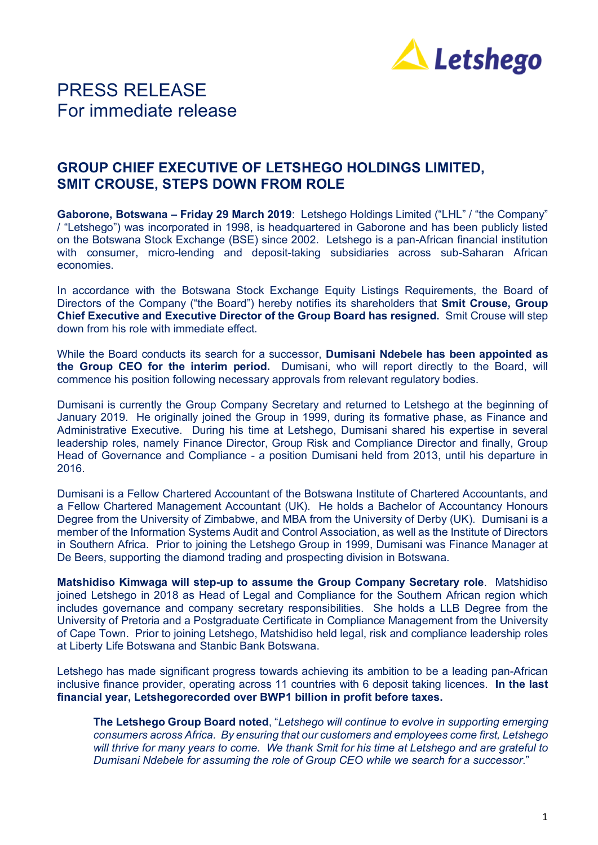

## PRESS RELEASE For immediate release

### **GROUP CHIEF EXECUTIVE OF LETSHEGO HOLDINGS LIMITED, SMIT CROUSE, STEPS DOWN FROM ROLE**

**Gaborone, Botswana – Friday 29 March 2019**: Letshego Holdings Limited ("LHL" / "the Company" / "Letshego") was incorporated in 1998, is headquartered in Gaborone and has been publicly listed on the Botswana Stock Exchange (BSE) since 2002. Letshego is a pan-African financial institution with consumer, micro-lending and deposit-taking subsidiaries across sub-Saharan African economies.

In accordance with the Botswana Stock Exchange Equity Listings Requirements, the Board of Directors of the Company ("the Board") hereby notifies its shareholders that **Smit Crouse, Group Chief Executive and Executive Director of the Group Board has resigned.** Smit Crouse will step down from his role with immediate effect.

While the Board conducts its search for a successor, **Dumisani Ndebele has been appointed as the Group CEO for the interim period.** Dumisani, who will report directly to the Board, will commence his position following necessary approvals from relevant regulatory bodies.

Dumisani is currently the Group Company Secretary and returned to Letshego at the beginning of January 2019. He originally joined the Group in 1999, during its formative phase, as Finance and Administrative Executive. During his time at Letshego, Dumisani shared his expertise in several leadership roles, namely Finance Director, Group Risk and Compliance Director and finally, Group Head of Governance and Compliance - a position Dumisani held from 2013, until his departure in 2016.

Dumisani is a Fellow Chartered Accountant of the Botswana Institute of Chartered Accountants, and a Fellow Chartered Management Accountant (UK). He holds a Bachelor of Accountancy Honours Degree from the University of Zimbabwe, and MBA from the University of Derby (UK). Dumisani is a member of the Information Systems Audit and Control Association, as well as the Institute of Directors in Southern Africa. Prior to joining the Letshego Group in 1999, Dumisani was Finance Manager at De Beers, supporting the diamond trading and prospecting division in Botswana.

**Matshidiso Kimwaga will step-up to assume the Group Company Secretary role**. Matshidiso joined Letshego in 2018 as Head of Legal and Compliance for the Southern African region which includes governance and company secretary responsibilities. She holds a LLB Degree from the University of Pretoria and a Postgraduate Certificate in Compliance Management from the University of Cape Town. Prior to joining Letshego, Matshidiso held legal, risk and compliance leadership roles at Liberty Life Botswana and Stanbic Bank Botswana.

Letshego has made significant progress towards achieving its ambition to be a leading pan-African inclusive finance provider, operating across 11 countries with 6 deposit taking licences. **In the last financial year, Letshegorecorded over BWP1 billion in profit before taxes.**

**The Letshego Group Board noted**, "*Letshego will continue to evolve in supporting emerging consumers across Africa. By ensuring that our customers and employees come first, Letshego* will thrive for many years to come. We thank Smit for his time at Letshego and are grateful to *Dumisani Ndebele for assuming the role of Group CEO while we search for a successor*."